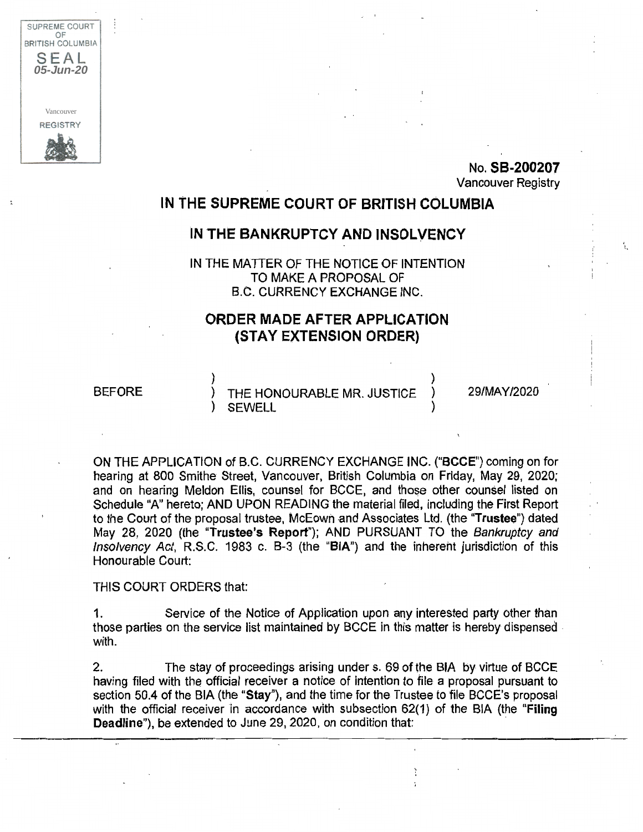

t ---~ I ' i No. **SB-200207**  Vancouver Registry

## **IN THE SUPREME COURT OF BRITISH COLUMBIA**

## **IN THE BANKRUPTCY AND INSOLVENCY**

IN THE MATTER OF THE NOTICE OF INTENTION TO MAKE A PROPOSAL OF B.C. CURRENCY EXCHANGE INC.

## **ORDER MADE AFTER APPLICATION (STAY EXTENSION ORDER)**

## BEFORE

) and the contract of  $\lambda$ THE HONOURABLE MR. JUSTICE ) SEWELL )

29/MAY/2020

ON THE APPLICATION of B.C. CURRENCY EXCHANGE INC. **("BCCE")** coming on for hearing at 800 Smithe Street, Vancouver, British Columbia on Friday, May 29, 2020; and on hearing Meldon Ellis, counsel for BCCE, and those other counsel listed on Schedule "A" hereto; AND UPON READING the material filed, including the First Report to the Court of the proposal trustee, McEown -and Associates Ltd. (the **"Trustee")** dated May 28, 2020 (the **"Trustee's Report");** AND PURSUANT TO the Bankruptcy and Insolvency Act, R.S.C. 1983 c. B-3 (the **"BIA")** and the inherent jurisdiction of this Honourable Court:

THIS COURT ORDERS that:

1. Service of the Notice of Application upon any interested party other than those parties on the service list maintained by BCCE in this matter is hereby dispensed . with.

2. The stay of proceedings arising under s. 69 of the BIA by virtue of BCCE having filed with the official receiver a notice of intention to file a proposal pursuant to section 50.4 of the BIA (the **"Stay"),** and the time for the Trustee to file BCCE's proposal with the official receiver in accordance with subsection 62(1) of the BIA (the **"Filing Deadline"),** be extended to June 29, 2020, on condition that: ·